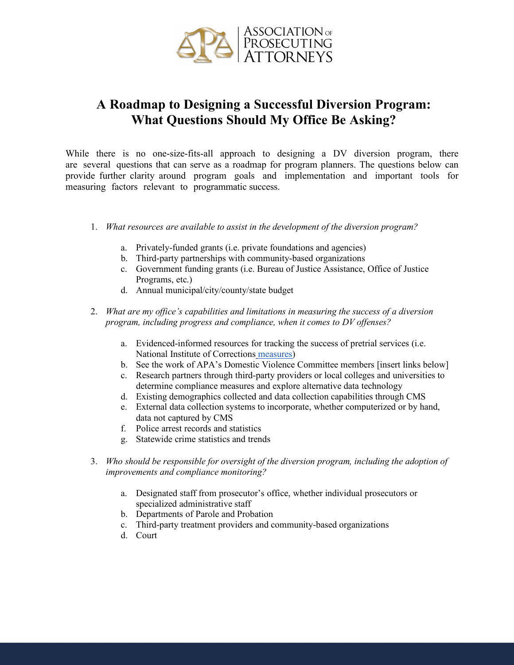

## **A Roadmap to Designing a Successful Diversion Program: What Questions Should My Office Be Asking?**

While there is no one-size-fits-all approach to designing a DV diversion program, there are several questions that can serve as a roadmap for program planners. The questions below can provide further clarity around program goals and implementation and important tools for measuring factors relevant to programmatic success.

- 1. *What resources are available to assist in the development of the diversion program?*
	- a. Privately-funded grants (i.e. private foundations and agencies)
	- b. Third-party partnerships with community-based organizations
	- c. Government funding grants (i.e. Bureau of Justice Assistance, Office of Justice Programs, etc.)
	- d. Annual municipal/city/county/state budget
- 2. *What are my office's capabilities and limitations in measuring the success of a diversion program, including progress and compliance, when it comes to DV offenses?*
	- a. Evidenced-informed resources for tracking the success of pretrial services (i.e. National Institute of Corrections [measures\)](https://s3.amazonaws.com/static.nicic.gov/Library/029722.pdf)
	- b. See the work of APA's Domestic Violence Committee members [insert links below]
	- c. Research partners through third-party providers or local colleges and universities to determine compliance measures and explore alternative data technology
	- d. Existing demographics collected and data collection capabilities through CMS
	- e. External data collection systems to incorporate, whether computerized or by hand, data not captured by CMS
	- f. Police arrest records and statistics
	- g. Statewide crime statistics and trends
- 3. *Who should be responsible for oversight of the diversion program, including the adoption of improvements and compliance monitoring?*
	- a. Designated staff from prosecutor's office, whether individual prosecutors or specialized administrative staff
	- b. Departments of Parole and Probation
	- c. Third-party treatment providers and community-based organizations
	- d. Court